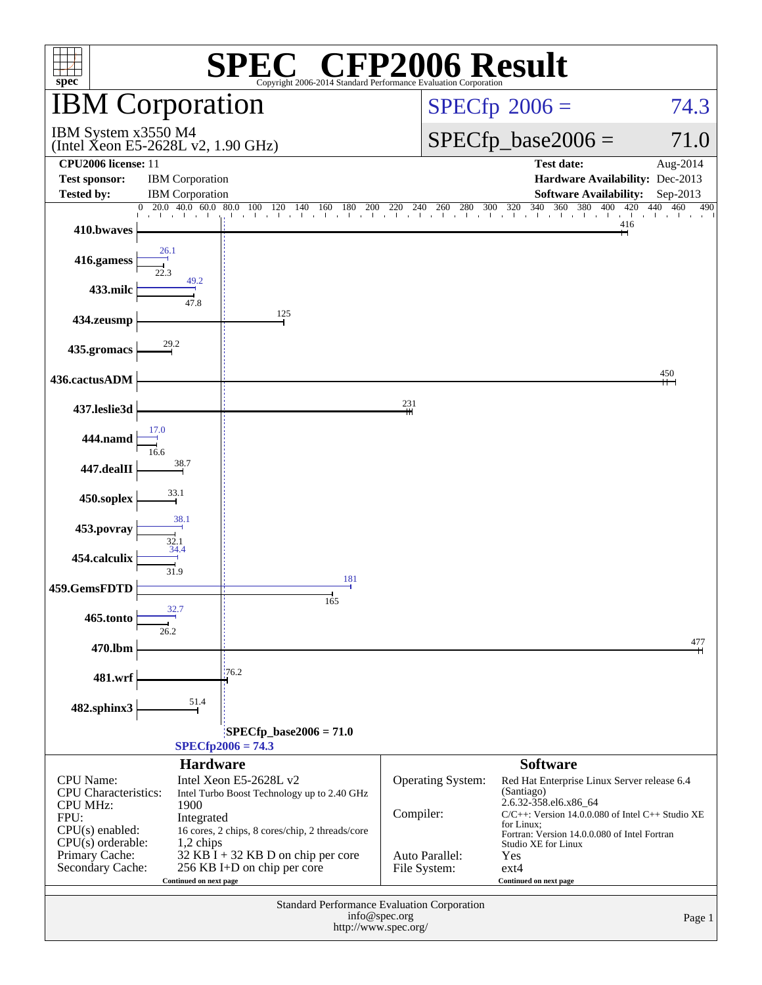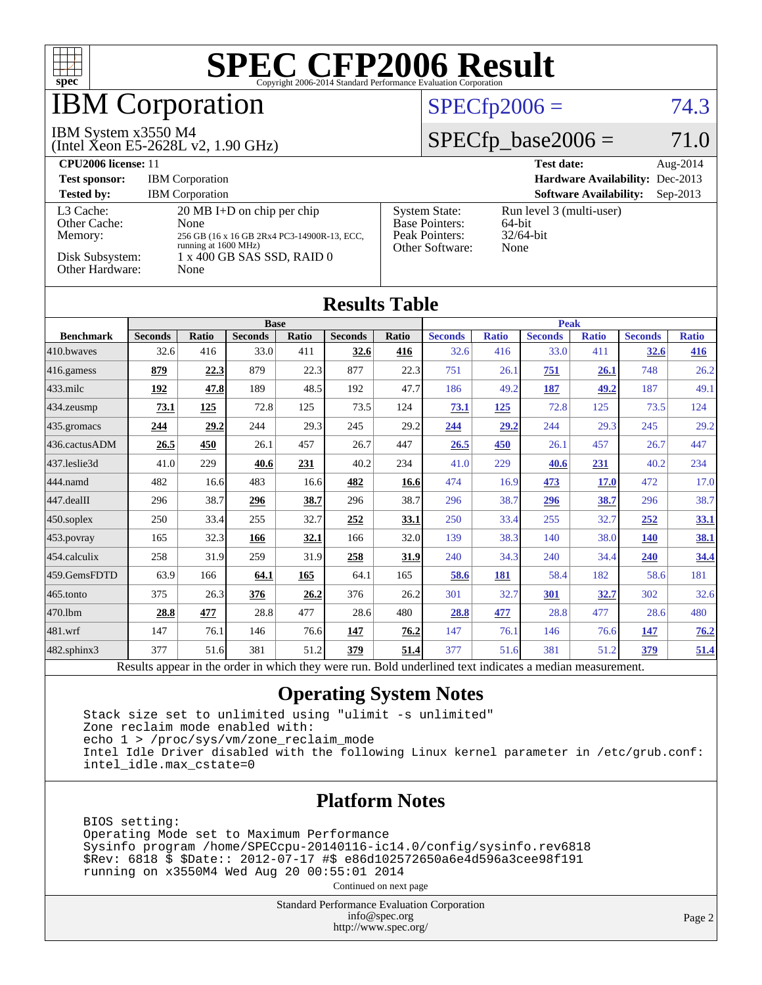

# **BM Corporation**

#### IBM System x3550 M4

(Intel Xeon E5-2628L v2, 1.90 GHz)

### $SPECfp2006 = 74.3$  $SPECfp2006 = 74.3$

## $SPECTp\_base2006 = 71.0$

| CPU <sub>2006</sub> license: 11                                            |                                                                                                                                                           |                                                                                    | <b>Test date:</b><br>Aug- $2014$                           |
|----------------------------------------------------------------------------|-----------------------------------------------------------------------------------------------------------------------------------------------------------|------------------------------------------------------------------------------------|------------------------------------------------------------|
| <b>Test sponsor:</b>                                                       | <b>IBM</b> Corporation                                                                                                                                    |                                                                                    | <b>Hardware Availability: Dec-2013</b>                     |
| <b>Tested by:</b>                                                          | <b>IBM</b> Corporation                                                                                                                                    |                                                                                    | <b>Software Availability:</b><br>$Sep-2013$                |
| L3 Cache:<br>Other Cache:<br>Memory:<br>Disk Subsystem:<br>Other Hardware: | $20 \text{ MB I+D}$ on chip per chip<br>None<br>256 GB (16 x 16 GB 2Rx4 PC3-14900R-13, ECC,<br>running at 1600 MHz)<br>1 x 400 GB SAS SSD, RAID 0<br>None | <b>System State:</b><br><b>Base Pointers:</b><br>Peak Pointers:<br>Other Software: | Run level 3 (multi-user)<br>64-bit<br>$32/64$ -bit<br>None |

|                  | Results Tadie               |              |                                         |       |                |              |                                                     |              |                |              |                |              |
|------------------|-----------------------------|--------------|-----------------------------------------|-------|----------------|--------------|-----------------------------------------------------|--------------|----------------|--------------|----------------|--------------|
|                  | <b>Base</b>                 |              |                                         |       |                | <b>Peak</b>  |                                                     |              |                |              |                |              |
| <b>Benchmark</b> | <b>Seconds</b>              | <b>Ratio</b> | <b>Seconds</b>                          | Ratio | <b>Seconds</b> | <b>Ratio</b> | <b>Seconds</b>                                      | <b>Ratio</b> | <b>Seconds</b> | <b>Ratio</b> | <b>Seconds</b> | <b>Ratio</b> |
| 410.bwayes       | 32.6                        | 416          | 33.0                                    | 411   | 32.6           | 416          | 32.6                                                | 416          | 33.0           | 411          | <b>32.6</b>    | <u>416</u>   |
| 416.gamess       | 879                         | 22.3         | 879                                     | 22.3  | 877            | 22.3         | 751                                                 | 26.1         | 751            | 26.1         | 748            | 26.2         |
| $433$ .milc      | 192                         | 47.8         | 189                                     | 48.5  | 192            | 47.7         | 186                                                 | 49.2         | 187            | 49.2         | 187            | 49.1         |
| 434.zeusmp       | 73.1                        | 125          | 72.8                                    | 125   | 73.5           | 124          | 73.1                                                | <u>125</u>   | 72.8           | 125          | 73.5           | 124          |
| 435.gromacs      | 244                         | 29.2         | 244                                     | 29.3  | 245            | 29.2         | 244                                                 | 29.2         | 244            | 29.3         | 245            | 29.2         |
| 436.cactusADM    | 26.5                        | 450          | 26.1                                    | 457   | 26.7           | 447          | 26.5                                                | 450          | 26.1           | 457          | 26.7           | 447          |
| 437.leslie3d     | 41.0                        | 229          | 40.6                                    | 231   | 40.2           | 234          | 41.0                                                | 229          | 40.6           | <u>231</u>   | 40.2           | 234          |
| 444.namd         | 482                         | 16.6         | 483                                     | 16.6  | 482            | 16.6         | 474                                                 | 16.9         | 473            | <b>17.0</b>  | 472            | 17.0         |
| $447$ .dealII    | 296                         | 38.7         | 296                                     | 38.7  | 296            | 38.7         | 296                                                 | 38.7         | 296            | 38.7         | 296            | 38.7         |
| $450$ .soplex    | 250                         | 33.4         | 255                                     | 32.7  | 252            | 33.1         | 250                                                 | 33.4         | 255            | 32.7         | 252            | <u>33.1</u>  |
| 453.povray       | 165                         | 32.3         | 166                                     | 32.1  | 166            | 32.0         | 139                                                 | 38.3         | 140            | 38.0         | <b>140</b>     | 38.1         |
| 454.calculix     | 258                         | 31.9         | 259                                     | 31.9  | 258            | 31.9         | 240                                                 | 34.3         | 240            | 34.4         | <b>240</b>     | <u>34.4</u>  |
| 459.GemsFDTD     | 63.9                        | 166          | 64.1                                    | 165   | 64.1           | 165          | 58.6                                                | 181          | 58.4           | 182          | 58.6           | 181          |
| 465.tonto        | 375                         | 26.3         | 376                                     | 26.2  | 376            | 26.2         | 301                                                 | 32.7         | 301            | 32.7         | 302            | 32.6         |
| 470.1bm          | 28.8                        | 477          | 28.8                                    | 477   | 28.6           | 480          | 28.8                                                | 477          | 28.8           | 477          | 28.6           | 480          |
| 481.wrf          | 147                         | 76.1         | 146                                     | 76.6  | 147            | 76.2         | 147                                                 | 76.1         | 146            | 76.6         | <b>147</b>     | 76.2         |
| 482.sphinx3      | 377                         | 51.6         | 381                                     | 51.2  | 379            | 51.4         | 377                                                 | 51.6         | 381            | 51.2         | 379            | 51.4         |
|                  | $\mathbf{D}$ . $\mathbf{L}$ |              | the attack and the two contributions of |       |                | $D - 1.1$    | $(1 - 1)$ and $(1 - 1)$ and $(1 - 1)$ and $(1 - 1)$ |              | 11.            |              |                |              |

**[Results Table](http://www.spec.org/auto/cpu2006/Docs/result-fields.html#ResultsTable)**

Results appear in the [order in which they were run.](http://www.spec.org/auto/cpu2006/Docs/result-fields.html#RunOrder) Bold underlined text [indicates a median measurement.](http://www.spec.org/auto/cpu2006/Docs/result-fields.html#Median)

### **[Operating System Notes](http://www.spec.org/auto/cpu2006/Docs/result-fields.html#OperatingSystemNotes)**

 Stack size set to unlimited using "ulimit -s unlimited" Zone reclaim mode enabled with: echo 1 > /proc/sys/vm/zone\_reclaim\_mode Intel Idle Driver disabled with the following Linux kernel parameter in /etc/grub.conf: intel\_idle.max\_cstate=0

### **[Platform Notes](http://www.spec.org/auto/cpu2006/Docs/result-fields.html#PlatformNotes)**

 BIOS setting: Operating Mode set to Maximum Performance Sysinfo program /home/SPECcpu-20140116-ic14.0/config/sysinfo.rev6818 \$Rev: 6818 \$ \$Date:: 2012-07-17 #\$ e86d102572650a6e4d596a3cee98f191 running on x3550M4 Wed Aug 20 00:55:01 2014

Continued on next page

Standard Performance Evaluation Corporation [info@spec.org](mailto:info@spec.org) <http://www.spec.org/>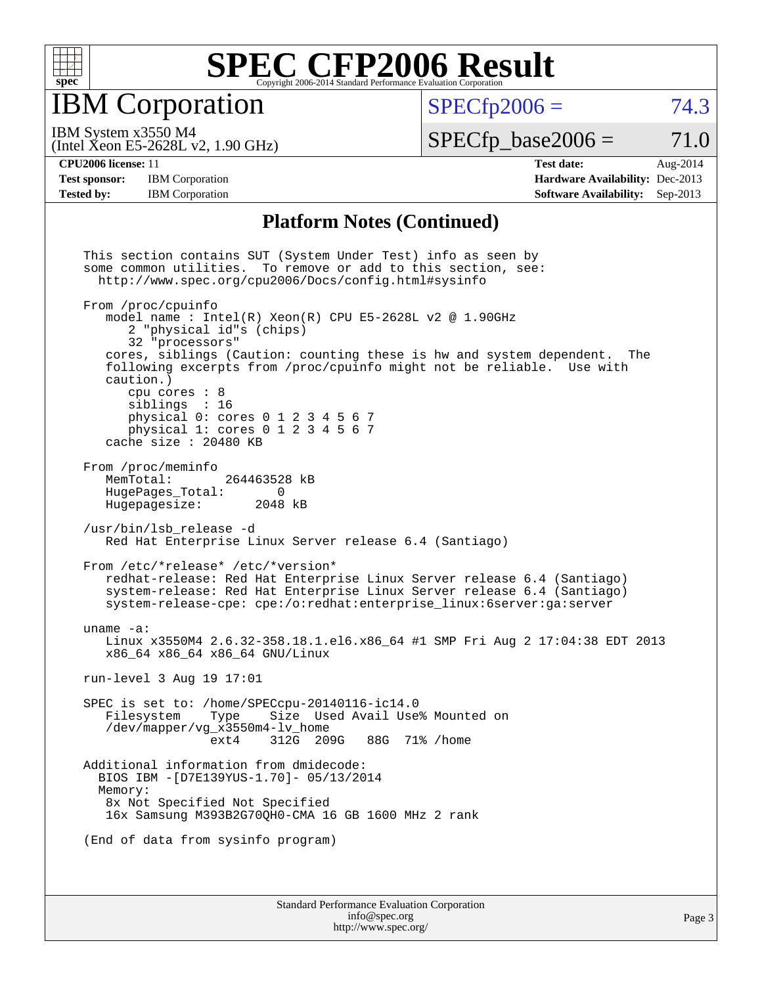

IBM Corporation

 $SPECTp2006 = 74.3$ 

(Intel Xeon E5-2628L v2, 1.90 GHz) IBM System x3550 M4

 $SPECTp\_base2006 = 71.0$ 

**[Test sponsor:](http://www.spec.org/auto/cpu2006/Docs/result-fields.html#Testsponsor)** IBM Corporation **[Hardware Availability:](http://www.spec.org/auto/cpu2006/Docs/result-fields.html#HardwareAvailability)** Dec-2013 **[Tested by:](http://www.spec.org/auto/cpu2006/Docs/result-fields.html#Testedby)** IBM Corporation **[Software Availability:](http://www.spec.org/auto/cpu2006/Docs/result-fields.html#SoftwareAvailability)** Sep-2013

**[CPU2006 license:](http://www.spec.org/auto/cpu2006/Docs/result-fields.html#CPU2006license)** 11 **[Test date:](http://www.spec.org/auto/cpu2006/Docs/result-fields.html#Testdate)** Aug-2014

#### **[Platform Notes \(Continued\)](http://www.spec.org/auto/cpu2006/Docs/result-fields.html#PlatformNotes)**

Standard Performance Evaluation Corporation This section contains SUT (System Under Test) info as seen by some common utilities. To remove or add to this section, see: <http://www.spec.org/cpu2006/Docs/config.html#sysinfo> From /proc/cpuinfo model name : Intel(R) Xeon(R) CPU E5-2628L v2 @ 1.90GHz 2 "physical id"s (chips) 32 "processors" cores, siblings (Caution: counting these is hw and system dependent. The following excerpts from /proc/cpuinfo might not be reliable. Use with caution.) cpu cores : 8 siblings : 16 physical 0: cores 0 1 2 3 4 5 6 7 physical 1: cores 0 1 2 3 4 5 6 7 cache size : 20480 KB From /proc/meminfo<br>MemTotal: 264463528 kB HugePages\_Total: 0<br>Hugepagesize: 2048 kB Hugepagesize: /usr/bin/lsb\_release -d Red Hat Enterprise Linux Server release 6.4 (Santiago) From /etc/\*release\* /etc/\*version\* redhat-release: Red Hat Enterprise Linux Server release 6.4 (Santiago) system-release: Red Hat Enterprise Linux Server release 6.4 (Santiago) system-release-cpe: cpe:/o:redhat:enterprise\_linux:6server:ga:server uname -a: Linux x3550M4 2.6.32-358.18.1.el6.x86\_64 #1 SMP Fri Aug 2 17:04:38 EDT 2013 x86\_64 x86\_64 x86\_64 GNU/Linux run-level 3 Aug 19 17:01 SPEC is set to: /home/SPECcpu-20140116-ic14.0 Size Used Avail Use% Mounted on /dev/mapper/vg\_x3550m4-lv\_home ext4 312G 209G 88G 71% /home Additional information from dmidecode: BIOS IBM -[D7E139YUS-1.70]- 05/13/2014 Memory: 8x Not Specified Not Specified 16x Samsung M393B2G70QH0-CMA 16 GB 1600 MHz 2 rank (End of data from sysinfo program)

> [info@spec.org](mailto:info@spec.org) <http://www.spec.org/>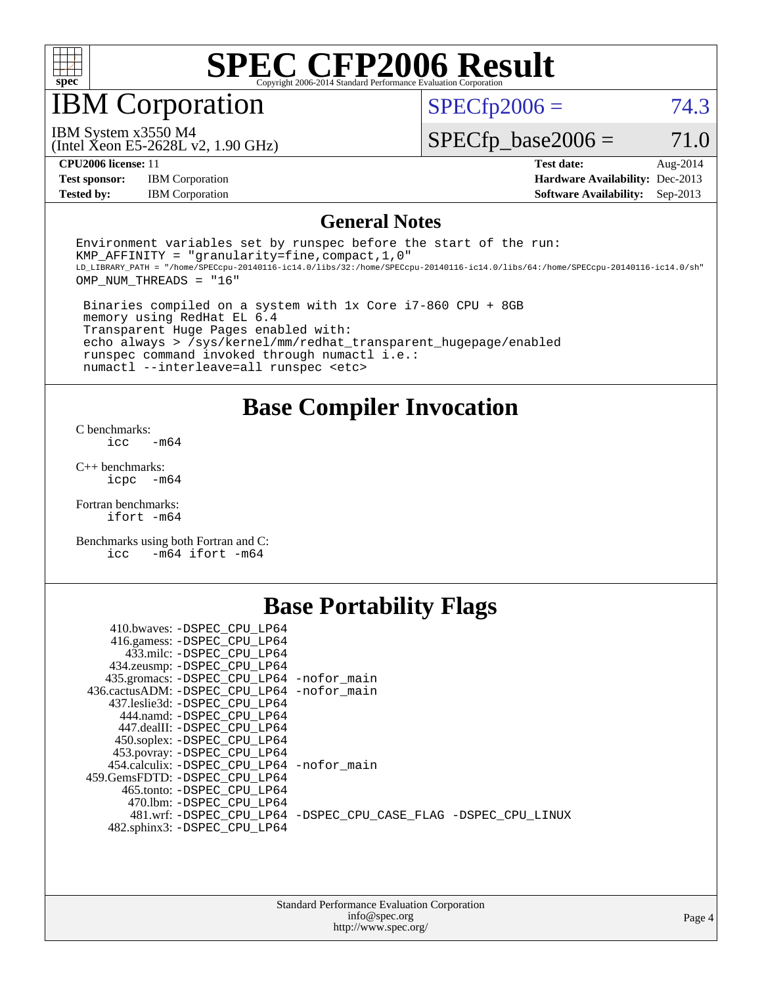

IBM Corporation

 $SPECTp2006 = 74.3$ 

(Intel Xeon E5-2628L v2, 1.90 GHz) IBM System x3550 M4

 $SPECfp\_base2006 = 71.0$ 

**[Test sponsor:](http://www.spec.org/auto/cpu2006/Docs/result-fields.html#Testsponsor)** IBM Corporation **[Hardware Availability:](http://www.spec.org/auto/cpu2006/Docs/result-fields.html#HardwareAvailability)** Dec-2013

**[CPU2006 license:](http://www.spec.org/auto/cpu2006/Docs/result-fields.html#CPU2006license)** 11 **[Test date:](http://www.spec.org/auto/cpu2006/Docs/result-fields.html#Testdate)** Aug-2014 **[Tested by:](http://www.spec.org/auto/cpu2006/Docs/result-fields.html#Testedby)** IBM Corporation **[Software Availability:](http://www.spec.org/auto/cpu2006/Docs/result-fields.html#SoftwareAvailability)** Sep-2013

### **[General Notes](http://www.spec.org/auto/cpu2006/Docs/result-fields.html#GeneralNotes)**

Environment variables set by runspec before the start of the run: KMP AFFINITY = "granularity=fine, compact,  $1,0$ " LD\_LIBRARY\_PATH = "/home/SPECcpu-20140116-ic14.0/libs/32:/home/SPECcpu-20140116-ic14.0/libs/64:/home/SPECcpu-20140116-ic14.0/sh" OMP\_NUM\_THREADS = "16"

 Binaries compiled on a system with 1x Core i7-860 CPU + 8GB memory using RedHat EL 6.4 Transparent Huge Pages enabled with: echo always > /sys/kernel/mm/redhat\_transparent\_hugepage/enabled runspec command invoked through numactl i.e.: numactl --interleave=all runspec <etc>

**[Base Compiler Invocation](http://www.spec.org/auto/cpu2006/Docs/result-fields.html#BaseCompilerInvocation)**

[C benchmarks](http://www.spec.org/auto/cpu2006/Docs/result-fields.html#Cbenchmarks):  $\text{icc}$   $-\text{m64}$ 

[C++ benchmarks:](http://www.spec.org/auto/cpu2006/Docs/result-fields.html#CXXbenchmarks) [icpc -m64](http://www.spec.org/cpu2006/results/res2014q3/cpu2006-20140825-31009.flags.html#user_CXXbase_intel_icpc_64bit_bedb90c1146cab66620883ef4f41a67e)

[Fortran benchmarks](http://www.spec.org/auto/cpu2006/Docs/result-fields.html#Fortranbenchmarks): [ifort -m64](http://www.spec.org/cpu2006/results/res2014q3/cpu2006-20140825-31009.flags.html#user_FCbase_intel_ifort_64bit_ee9d0fb25645d0210d97eb0527dcc06e)

[Benchmarks using both Fortran and C](http://www.spec.org/auto/cpu2006/Docs/result-fields.html#BenchmarksusingbothFortranandC): [icc -m64](http://www.spec.org/cpu2006/results/res2014q3/cpu2006-20140825-31009.flags.html#user_CC_FCbase_intel_icc_64bit_0b7121f5ab7cfabee23d88897260401c) [ifort -m64](http://www.spec.org/cpu2006/results/res2014q3/cpu2006-20140825-31009.flags.html#user_CC_FCbase_intel_ifort_64bit_ee9d0fb25645d0210d97eb0527dcc06e)

## **[Base Portability Flags](http://www.spec.org/auto/cpu2006/Docs/result-fields.html#BasePortabilityFlags)**

| 410.bwaves: -DSPEC CPU LP64                 |                                                                |
|---------------------------------------------|----------------------------------------------------------------|
| 416.gamess: -DSPEC_CPU_LP64                 |                                                                |
| 433.milc: -DSPEC CPU LP64                   |                                                                |
| 434.zeusmp: - DSPEC_CPU_LP64                |                                                                |
| 435.gromacs: -DSPEC_CPU_LP64 -nofor_main    |                                                                |
| 436.cactusADM: -DSPEC CPU LP64 -nofor main  |                                                                |
| 437.leslie3d: -DSPEC CPU LP64               |                                                                |
| 444.namd: -DSPEC CPU LP64                   |                                                                |
| 447.dealII: -DSPEC CPU LP64                 |                                                                |
| 450.soplex: -DSPEC_CPU_LP64                 |                                                                |
| 453.povray: -DSPEC_CPU_LP64                 |                                                                |
| 454.calculix: - DSPEC CPU LP64 - nofor main |                                                                |
| 459.GemsFDTD: - DSPEC_CPU LP64              |                                                                |
| 465.tonto: - DSPEC CPU LP64                 |                                                                |
| 470.1bm: - DSPEC CPU LP64                   |                                                                |
|                                             | 481.wrf: -DSPEC CPU_LP64 -DSPEC_CPU_CASE_FLAG -DSPEC_CPU_LINUX |
| 482.sphinx3: -DSPEC_CPU_LP64                |                                                                |
|                                             |                                                                |

| <b>Standard Performance Evaluation Corporation</b> |
|----------------------------------------------------|
| info@spec.org                                      |
| http://www.spec.org/                               |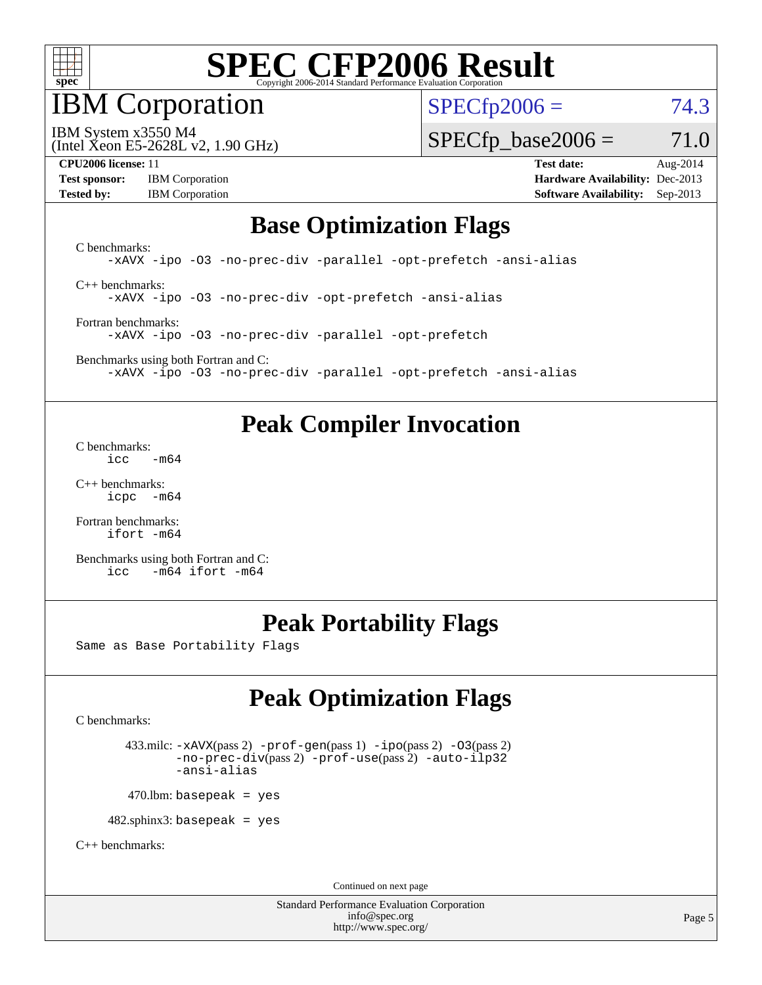

IBM Corporation

 $SPECfp2006 = 74.3$  $SPECfp2006 = 74.3$ 

(Intel Xeon E5-2628L v2, 1.90 GHz) IBM System x3550 M4

 $SPECTp\_base2006 = 71.0$ 

**[Test sponsor:](http://www.spec.org/auto/cpu2006/Docs/result-fields.html#Testsponsor)** IBM Corporation **[Hardware Availability:](http://www.spec.org/auto/cpu2006/Docs/result-fields.html#HardwareAvailability)** Dec-2013 **[Tested by:](http://www.spec.org/auto/cpu2006/Docs/result-fields.html#Testedby)** IBM Corporation **[Software Availability:](http://www.spec.org/auto/cpu2006/Docs/result-fields.html#SoftwareAvailability)** Sep-2013

**[CPU2006 license:](http://www.spec.org/auto/cpu2006/Docs/result-fields.html#CPU2006license)** 11 **[Test date:](http://www.spec.org/auto/cpu2006/Docs/result-fields.html#Testdate)** Aug-2014

## **[Base Optimization Flags](http://www.spec.org/auto/cpu2006/Docs/result-fields.html#BaseOptimizationFlags)**

[C benchmarks](http://www.spec.org/auto/cpu2006/Docs/result-fields.html#Cbenchmarks): [-xAVX](http://www.spec.org/cpu2006/results/res2014q3/cpu2006-20140825-31009.flags.html#user_CCbase_f-xAVX) [-ipo](http://www.spec.org/cpu2006/results/res2014q3/cpu2006-20140825-31009.flags.html#user_CCbase_f-ipo) [-O3](http://www.spec.org/cpu2006/results/res2014q3/cpu2006-20140825-31009.flags.html#user_CCbase_f-O3) [-no-prec-div](http://www.spec.org/cpu2006/results/res2014q3/cpu2006-20140825-31009.flags.html#user_CCbase_f-no-prec-div) [-parallel](http://www.spec.org/cpu2006/results/res2014q3/cpu2006-20140825-31009.flags.html#user_CCbase_f-parallel) [-opt-prefetch](http://www.spec.org/cpu2006/results/res2014q3/cpu2006-20140825-31009.flags.html#user_CCbase_f-opt-prefetch) [-ansi-alias](http://www.spec.org/cpu2006/results/res2014q3/cpu2006-20140825-31009.flags.html#user_CCbase_f-ansi-alias) [C++ benchmarks:](http://www.spec.org/auto/cpu2006/Docs/result-fields.html#CXXbenchmarks)

[-xAVX](http://www.spec.org/cpu2006/results/res2014q3/cpu2006-20140825-31009.flags.html#user_CXXbase_f-xAVX) [-ipo](http://www.spec.org/cpu2006/results/res2014q3/cpu2006-20140825-31009.flags.html#user_CXXbase_f-ipo) [-O3](http://www.spec.org/cpu2006/results/res2014q3/cpu2006-20140825-31009.flags.html#user_CXXbase_f-O3) [-no-prec-div](http://www.spec.org/cpu2006/results/res2014q3/cpu2006-20140825-31009.flags.html#user_CXXbase_f-no-prec-div) [-opt-prefetch](http://www.spec.org/cpu2006/results/res2014q3/cpu2006-20140825-31009.flags.html#user_CXXbase_f-opt-prefetch) [-ansi-alias](http://www.spec.org/cpu2006/results/res2014q3/cpu2006-20140825-31009.flags.html#user_CXXbase_f-ansi-alias)

[Fortran benchmarks](http://www.spec.org/auto/cpu2006/Docs/result-fields.html#Fortranbenchmarks): [-xAVX](http://www.spec.org/cpu2006/results/res2014q3/cpu2006-20140825-31009.flags.html#user_FCbase_f-xAVX) [-ipo](http://www.spec.org/cpu2006/results/res2014q3/cpu2006-20140825-31009.flags.html#user_FCbase_f-ipo) [-O3](http://www.spec.org/cpu2006/results/res2014q3/cpu2006-20140825-31009.flags.html#user_FCbase_f-O3) [-no-prec-div](http://www.spec.org/cpu2006/results/res2014q3/cpu2006-20140825-31009.flags.html#user_FCbase_f-no-prec-div) [-parallel](http://www.spec.org/cpu2006/results/res2014q3/cpu2006-20140825-31009.flags.html#user_FCbase_f-parallel) [-opt-prefetch](http://www.spec.org/cpu2006/results/res2014q3/cpu2006-20140825-31009.flags.html#user_FCbase_f-opt-prefetch)

[Benchmarks using both Fortran and C](http://www.spec.org/auto/cpu2006/Docs/result-fields.html#BenchmarksusingbothFortranandC): [-xAVX](http://www.spec.org/cpu2006/results/res2014q3/cpu2006-20140825-31009.flags.html#user_CC_FCbase_f-xAVX) [-ipo](http://www.spec.org/cpu2006/results/res2014q3/cpu2006-20140825-31009.flags.html#user_CC_FCbase_f-ipo) [-O3](http://www.spec.org/cpu2006/results/res2014q3/cpu2006-20140825-31009.flags.html#user_CC_FCbase_f-O3) [-no-prec-div](http://www.spec.org/cpu2006/results/res2014q3/cpu2006-20140825-31009.flags.html#user_CC_FCbase_f-no-prec-div) [-parallel](http://www.spec.org/cpu2006/results/res2014q3/cpu2006-20140825-31009.flags.html#user_CC_FCbase_f-parallel) [-opt-prefetch](http://www.spec.org/cpu2006/results/res2014q3/cpu2006-20140825-31009.flags.html#user_CC_FCbase_f-opt-prefetch) [-ansi-alias](http://www.spec.org/cpu2006/results/res2014q3/cpu2006-20140825-31009.flags.html#user_CC_FCbase_f-ansi-alias)

## **[Peak Compiler Invocation](http://www.spec.org/auto/cpu2006/Docs/result-fields.html#PeakCompilerInvocation)**

[C benchmarks](http://www.spec.org/auto/cpu2006/Docs/result-fields.html#Cbenchmarks):  $\text{icc}$  -m64

[C++ benchmarks:](http://www.spec.org/auto/cpu2006/Docs/result-fields.html#CXXbenchmarks) [icpc -m64](http://www.spec.org/cpu2006/results/res2014q3/cpu2006-20140825-31009.flags.html#user_CXXpeak_intel_icpc_64bit_bedb90c1146cab66620883ef4f41a67e)

[Fortran benchmarks](http://www.spec.org/auto/cpu2006/Docs/result-fields.html#Fortranbenchmarks): [ifort -m64](http://www.spec.org/cpu2006/results/res2014q3/cpu2006-20140825-31009.flags.html#user_FCpeak_intel_ifort_64bit_ee9d0fb25645d0210d97eb0527dcc06e)

[Benchmarks using both Fortran and C](http://www.spec.org/auto/cpu2006/Docs/result-fields.html#BenchmarksusingbothFortranandC): [icc -m64](http://www.spec.org/cpu2006/results/res2014q3/cpu2006-20140825-31009.flags.html#user_CC_FCpeak_intel_icc_64bit_0b7121f5ab7cfabee23d88897260401c) [ifort -m64](http://www.spec.org/cpu2006/results/res2014q3/cpu2006-20140825-31009.flags.html#user_CC_FCpeak_intel_ifort_64bit_ee9d0fb25645d0210d97eb0527dcc06e)

# **[Peak Portability Flags](http://www.spec.org/auto/cpu2006/Docs/result-fields.html#PeakPortabilityFlags)**

Same as Base Portability Flags

# **[Peak Optimization Flags](http://www.spec.org/auto/cpu2006/Docs/result-fields.html#PeakOptimizationFlags)**

[C benchmarks](http://www.spec.org/auto/cpu2006/Docs/result-fields.html#Cbenchmarks):

 433.milc: [-xAVX](http://www.spec.org/cpu2006/results/res2014q3/cpu2006-20140825-31009.flags.html#user_peakPASS2_CFLAGSPASS2_LDFLAGS433_milc_f-xAVX)(pass 2) [-prof-gen](http://www.spec.org/cpu2006/results/res2014q3/cpu2006-20140825-31009.flags.html#user_peakPASS1_CFLAGSPASS1_LDFLAGS433_milc_prof_gen_e43856698f6ca7b7e442dfd80e94a8fc)(pass 1) [-ipo](http://www.spec.org/cpu2006/results/res2014q3/cpu2006-20140825-31009.flags.html#user_peakPASS2_CFLAGSPASS2_LDFLAGS433_milc_f-ipo)(pass 2) [-O3](http://www.spec.org/cpu2006/results/res2014q3/cpu2006-20140825-31009.flags.html#user_peakPASS2_CFLAGSPASS2_LDFLAGS433_milc_f-O3)(pass 2) [-no-prec-div](http://www.spec.org/cpu2006/results/res2014q3/cpu2006-20140825-31009.flags.html#user_peakPASS2_CFLAGSPASS2_LDFLAGS433_milc_f-no-prec-div)(pass 2) [-prof-use](http://www.spec.org/cpu2006/results/res2014q3/cpu2006-20140825-31009.flags.html#user_peakPASS2_CFLAGSPASS2_LDFLAGS433_milc_prof_use_bccf7792157ff70d64e32fe3e1250b55)(pass 2) [-auto-ilp32](http://www.spec.org/cpu2006/results/res2014q3/cpu2006-20140825-31009.flags.html#user_peakCOPTIMIZE433_milc_f-auto-ilp32) [-ansi-alias](http://www.spec.org/cpu2006/results/res2014q3/cpu2006-20140825-31009.flags.html#user_peakCOPTIMIZE433_milc_f-ansi-alias)

 $470$ .lbm: basepeak = yes

482.sphinx3: basepeak = yes

[C++ benchmarks:](http://www.spec.org/auto/cpu2006/Docs/result-fields.html#CXXbenchmarks)

Continued on next page

Standard Performance Evaluation Corporation [info@spec.org](mailto:info@spec.org) <http://www.spec.org/>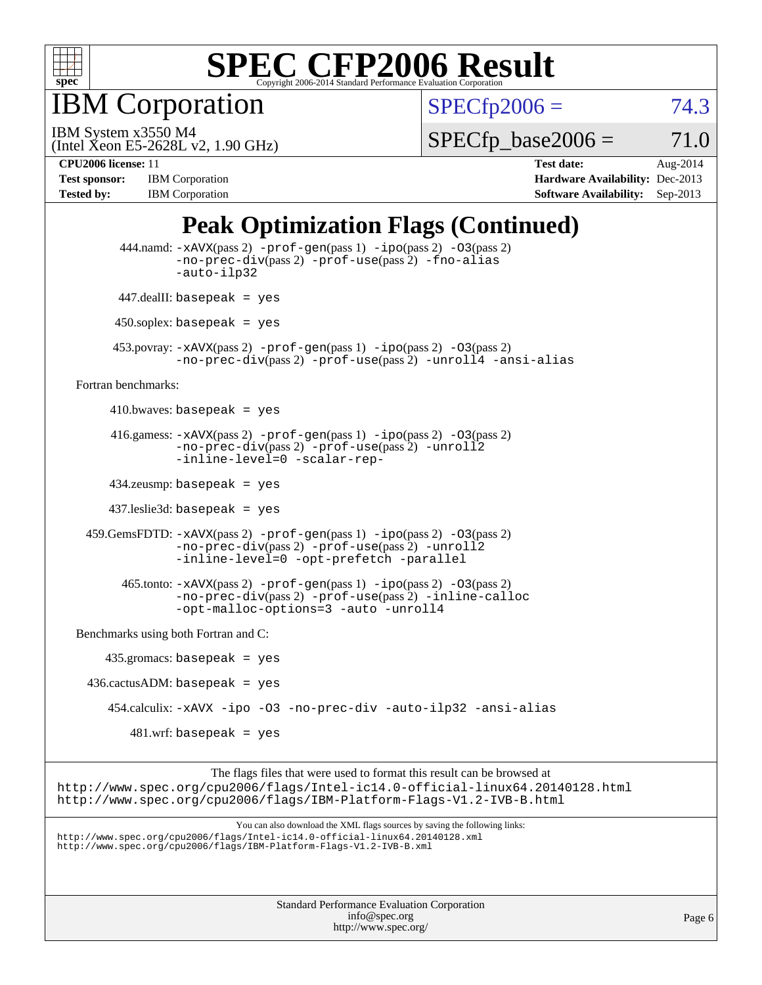

IBM Corporation

 $SPECfp2006 = 74.3$  $SPECfp2006 = 74.3$ 

(Intel Xeon E5-2628L v2, 1.90 GHz) IBM System x3550 M4

 $SPECTp\_base2006 = 71.0$ 

**[CPU2006 license:](http://www.spec.org/auto/cpu2006/Docs/result-fields.html#CPU2006license)** 11 **[Test date:](http://www.spec.org/auto/cpu2006/Docs/result-fields.html#Testdate)** Aug-2014 **[Test sponsor:](http://www.spec.org/auto/cpu2006/Docs/result-fields.html#Testsponsor)** IBM Corporation **[Hardware Availability:](http://www.spec.org/auto/cpu2006/Docs/result-fields.html#HardwareAvailability)** Dec-2013 **[Tested by:](http://www.spec.org/auto/cpu2006/Docs/result-fields.html#Testedby)** IBM Corporation **[Software Availability:](http://www.spec.org/auto/cpu2006/Docs/result-fields.html#SoftwareAvailability)** Sep-2013

# **[Peak Optimization Flags \(Continued\)](http://www.spec.org/auto/cpu2006/Docs/result-fields.html#PeakOptimizationFlags)**

|                     | <b>Standard Performance Evaluation Corporation</b><br>info@spec.org                                                                                                                                                               | Page 6 |
|---------------------|-----------------------------------------------------------------------------------------------------------------------------------------------------------------------------------------------------------------------------------|--------|
|                     |                                                                                                                                                                                                                                   |        |
|                     | You can also download the XML flags sources by saving the following links:<br>http://www.spec.org/cpu2006/flags/Intel-ic14.0-official-linux64.20140128.xml<br>http://www.spec.org/cpu2006/flags/IBM-Platform-Flags-V1.2-IVB-B.xml |        |
|                     | The flags files that were used to format this result can be browsed at<br>http://www.spec.org/cpu2006/flags/Intel-ic14.0-official-linux64.20140128.html<br>http://www.spec.org/cpu2006/flags/IBM-Platform-Flags-V1.2-IVB-B.html   |        |
|                     | $481.wrf$ : basepeak = yes                                                                                                                                                                                                        |        |
|                     | 454.calculix: -xAVX -ipo -03 -no-prec-div -auto-ilp32 -ansi-alias                                                                                                                                                                 |        |
|                     | $436.cactusADM:basepeak = yes$                                                                                                                                                                                                    |        |
|                     | $435.gromacs: basepeak = yes$                                                                                                                                                                                                     |        |
|                     | Benchmarks using both Fortran and C:                                                                                                                                                                                              |        |
|                     | $465$ .tonto: $-xAVX(pass 2)$ -prof-gen(pass 1) -ipo(pass 2) -03(pass 2)<br>-no-prec-div(pass 2) -prof-use(pass 2) -inline-calloc<br>-opt-malloc-options=3 -auto -unroll4                                                         |        |
|                     | 459. GemsFDTD: -xAVX(pass 2) -prof-gen(pass 1) -ipo(pass 2) -03(pass 2)<br>-no-prec-div(pass 2) -prof-use(pass 2) -unroll2<br>-inline-level=0 -opt-prefetch -parallel                                                             |        |
|                     | $437$ .leslie3d: basepeak = yes                                                                                                                                                                                                   |        |
|                     | $434$ .zeusmp: basepeak = yes                                                                                                                                                                                                     |        |
|                     | 416.gamess: $-x$ AVX(pass 2) $-prof-gen(pass 1) -ipo(pass 2) -O3(pass 2)$<br>-no-prec-div(pass 2) -prof-use(pass 2) -unroll2<br>-inline-level=0 -scalar-rep-                                                                      |        |
|                     | 410.bwaves: basepeak = $yes$                                                                                                                                                                                                      |        |
| Fortran benchmarks: |                                                                                                                                                                                                                                   |        |
|                     | $453.$ povray: $-xAVX(pass 2)$ -prof-gen $(pass 1)$ -ipo $(pass 2)$ -03 $(pass 2)$<br>-no-prec-div(pass 2) -prof-use(pass 2) -unroll4 -ansi-alias                                                                                 |        |
|                     | $450$ .soplex: basepeak = yes                                                                                                                                                                                                     |        |
|                     | $447$ .dealII: basepeak = yes                                                                                                                                                                                                     |        |
|                     | 444.namd: -xAVX(pass 2) -prof-gen(pass 1) -ipo(pass 2) -03(pass 2)<br>$-no\text{-prec-div}(pass 2)$ -prof-use(pass 2) -fno-alias<br>-auto-ilp32                                                                                   |        |

<http://www.spec.org/>